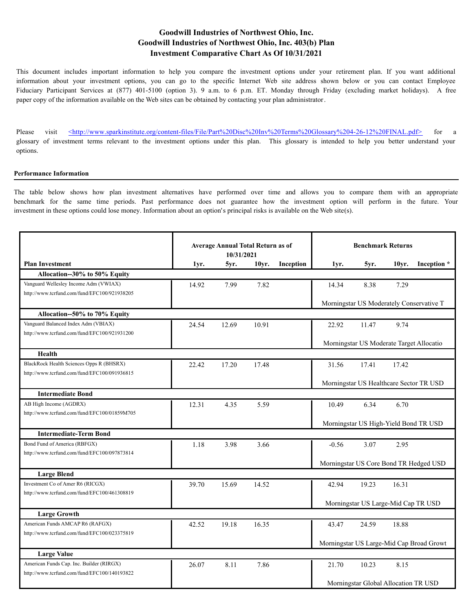This document includes important information to help you compare the investment options under your retirement plan. If you want additional information about your investment options, you can go to the specific Internet Web site address shown below or you can contact Employee Fiduciary Participant Services at (877) 401-5100 (option 3). 9 a.m. to 6 p.m. ET. Monday through Friday (excluding market holidays). A free paper copy of the information available on the Web sites can be obtained by contacting your plan administrator.

Please visit  $\leq$ http://www.sparkinstitute.org/content-files/File/Part%20Disc%20Inv%20Terms%20Glossary%204-26-12%20FINAL.pdf> for a glossary of investment terms relevant to the investment options under this plan. This glossary is intended to help you better understand your options.

#### **Performance Information**

The table below shows how plan investment alternatives have performed over time and allows you to compare them with an appropriate benchmark for the same time periods. Past performance does not guarantee how the investment option will perform in the future. Your investment in these options could lose money. Information about an option's principal risks is available on the Web site(s).

|                                              |       | <b>Average Annual Total Return as of</b><br>10/31/2021 |       |           | <b>Benchmark Returns</b>               |                                          |       |                                          |
|----------------------------------------------|-------|--------------------------------------------------------|-------|-----------|----------------------------------------|------------------------------------------|-------|------------------------------------------|
| <b>Plan Investment</b>                       | 1yr.  | 5yr.                                                   | 10vr. | Inception | 1yr.                                   | 5yr.                                     | 10yr. | Inception *                              |
| Allocation--30% to 50% Equity                |       |                                                        |       |           |                                        |                                          |       |                                          |
| Vanguard Wellesley Income Adm (VWIAX)        | 14.92 | 7.99                                                   | 7.82  |           | 14.34                                  | 8.38                                     | 7.29  |                                          |
| http://www.tcrfund.com/fund/EFC100/921938205 |       |                                                        |       |           |                                        |                                          |       |                                          |
|                                              |       |                                                        |       |           |                                        | Morningstar US Moderately Conservative T |       |                                          |
| Allocation--50% to 70% Equity                |       |                                                        |       |           |                                        |                                          |       |                                          |
| Vanguard Balanced Index Adm (VBIAX)          | 24.54 | 12.69                                                  | 10.91 |           | 22.92                                  | 11.47                                    | 9.74  |                                          |
| http://www.tcrfund.com/fund/EFC100/921931200 |       |                                                        |       |           |                                        |                                          |       |                                          |
|                                              |       |                                                        |       |           |                                        | Morningstar US Moderate Target Allocatio |       |                                          |
| Health                                       |       |                                                        |       |           |                                        |                                          |       |                                          |
| BlackRock Health Sciences Opps R (BHSRX)     | 22.42 | 17.20                                                  | 17.48 |           | 31.56                                  | 17.41                                    | 17.42 |                                          |
| http://www.tcrfund.com/fund/EFC100/091936815 |       |                                                        |       |           |                                        |                                          |       |                                          |
|                                              |       |                                                        |       |           |                                        | Morningstar US Healthcare Sector TR USD  |       |                                          |
| <b>Intermediate Bond</b>                     |       |                                                        |       |           |                                        |                                          |       |                                          |
| AB High Income (AGDRX)                       | 12.31 | 4.35                                                   | 5.59  |           | 10.49                                  | 6.34                                     | 6.70  |                                          |
| http://www.terfund.com/fund/EFC100/01859M705 |       |                                                        |       |           |                                        |                                          |       |                                          |
|                                              |       |                                                        |       |           |                                        | Morningstar US High-Yield Bond TR USD    |       |                                          |
| <b>Intermediate-Term Bond</b>                |       |                                                        |       |           |                                        |                                          |       |                                          |
| Bond Fund of America (RBFGX)                 | 1.18  | 3.98                                                   | 3.66  |           | $-0.56$                                | 3.07                                     | 2.95  |                                          |
| http://www.tcrfund.com/fund/EFC100/097873814 |       |                                                        |       |           |                                        |                                          |       |                                          |
|                                              |       |                                                        |       |           | Morningstar US Core Bond TR Hedged USD |                                          |       |                                          |
| <b>Large Blend</b>                           |       |                                                        |       |           |                                        |                                          |       |                                          |
| Investment Co of Amer R6 (RICGX)             | 39.70 | 15.69                                                  | 14.52 |           | 42.94                                  | 19.23                                    | 16.31 |                                          |
| http://www.tcrfund.com/fund/EFC100/461308819 |       |                                                        |       |           |                                        |                                          |       |                                          |
|                                              |       |                                                        |       |           |                                        | Morningstar US Large-Mid Cap TR USD      |       |                                          |
| <b>Large Growth</b>                          |       |                                                        |       |           |                                        |                                          |       |                                          |
| American Funds AMCAP R6 (RAFGX)              | 42.52 | 19.18                                                  | 16.35 |           | 43.47                                  | 24.59                                    | 18.88 |                                          |
| http://www.tcrfund.com/fund/EFC100/023375819 |       |                                                        |       |           |                                        |                                          |       |                                          |
|                                              |       |                                                        |       |           |                                        |                                          |       | Morningstar US Large-Mid Cap Broad Growt |
| <b>Large Value</b>                           |       |                                                        |       |           |                                        |                                          |       |                                          |
| American Funds Cap. Inc. Builder (RIRGX)     | 26.07 | 8.11                                                   | 7.86  |           | 21.70                                  | 10.23                                    | 8.15  |                                          |
| http://www.tcrfund.com/fund/EFC100/140193822 |       |                                                        |       |           |                                        |                                          |       |                                          |
|                                              |       |                                                        |       |           |                                        | Morningstar Global Allocation TR USD     |       |                                          |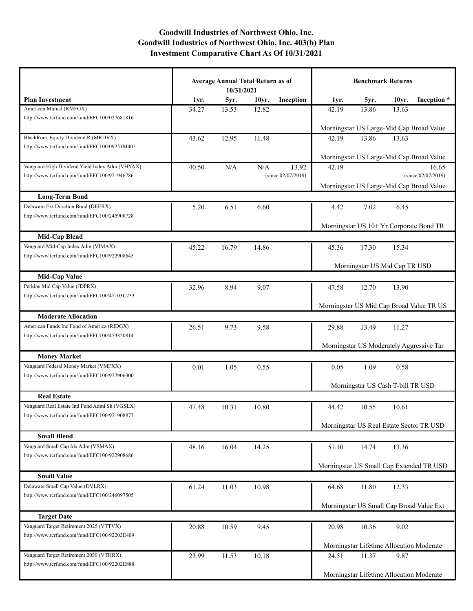|                                                                                    | <b>Average Annual Total Return as of</b><br>10/31/2021 |       |       | <b>Benchmark Returns</b> |       |                                          |       |                                          |
|------------------------------------------------------------------------------------|--------------------------------------------------------|-------|-------|--------------------------|-------|------------------------------------------|-------|------------------------------------------|
| <b>Plan Investment</b>                                                             | 1yr.                                                   | 5yr.  | 10yr. | Inception                | 1yr.  | 5yr.                                     | 10yr. | Inception *                              |
| American Mutual (RMFGX)                                                            | 34.27                                                  | 13.53 | 12.82 |                          | 42.19 | 13.86                                    | 13.63 |                                          |
| http://www.tcrfund.com/fund/EFC100/027681816                                       |                                                        |       |       |                          |       | Morningstar US Large-Mid Cap Broad Value |       |                                          |
| BlackRock Equity Dividend R (MRDVX)                                                | 43.62                                                  | 12.95 | 11.48 |                          | 42.19 | 13.86                                    | 13.63 |                                          |
| http://www.tcrfund.com/fund/EFC100/09251M405                                       |                                                        |       |       |                          |       | Morningstar US Large-Mid Cap Broad Value |       |                                          |
| Vanguard High Dividend Yield Index Adm (VHYAX)                                     | 40.50                                                  | N/A   | N/A   | 13.92                    | 42.19 |                                          |       | 16.65                                    |
| http://www.tcrfund.com/fund/EFC100/921946786                                       |                                                        |       |       | (since $02/07/2019$ )    |       |                                          |       | (since $02/07/2019$ )                    |
|                                                                                    |                                                        |       |       |                          |       | Morningstar US Large-Mid Cap Broad Value |       |                                          |
| <b>Long-Term Bond</b>                                                              |                                                        |       |       |                          |       |                                          |       |                                          |
| Delaware Ext Duration Bond (DEERX)                                                 | 5.20                                                   | 6.51  | 6.60  |                          | 4.42  | 7.02                                     | 6.45  |                                          |
| http://www.tcrfund.com/fund/EFC100/245908728                                       |                                                        |       |       |                          |       |                                          |       |                                          |
|                                                                                    |                                                        |       |       |                          |       | Morningstar US 10+ Yr Corporate Bond TR  |       |                                          |
| <b>Mid-Cap Blend</b>                                                               |                                                        |       |       |                          |       |                                          |       |                                          |
| Vanguard Mid-Cap Index Adm (VIMAX)                                                 | 45.22                                                  | 16.79 | 14.86 |                          | 45.36 | 17.30                                    | 15.34 |                                          |
| http://www.tcrfund.com/fund/EFC100/922908645                                       |                                                        |       |       |                          |       |                                          |       |                                          |
|                                                                                    |                                                        |       |       |                          |       | Morningstar US Mid Cap TR USD            |       |                                          |
| <b>Mid-Cap Value</b><br>Perkins Mid Cap Value (JDPRX)                              |                                                        |       |       |                          |       |                                          |       |                                          |
| http://www.tcrfund.com/fund/EFC100/47103C233                                       | 32.96                                                  | 8.94  | 9.07  |                          | 47.58 | 12.70                                    | 13.90 |                                          |
|                                                                                    |                                                        |       |       |                          |       |                                          |       | Morningstar US Mid Cap Broad Value TR US |
| <b>Moderate Allocation</b>                                                         |                                                        |       |       |                          |       |                                          |       |                                          |
| American Funds Inc Fund of America (RIDGX)                                         | 26.51                                                  | 9.73  | 9.58  |                          | 29.88 | 13.49                                    | 11.27 |                                          |
| http://www.tcrfund.com/fund/EFC100/453320814                                       |                                                        |       |       |                          |       |                                          |       |                                          |
|                                                                                    |                                                        |       |       |                          |       | Morningstar US Moderately Aggressive Tar |       |                                          |
| <b>Money Market</b>                                                                |                                                        |       |       |                          |       |                                          |       |                                          |
| Vanguard Federal Money Market (VMFXX)                                              | 0.01                                                   | 1.05  | 0.55  |                          | 0.05  | 1.09                                     | 0.58  |                                          |
| http://www.tcrfund.com/fund/EFC100/922906300                                       |                                                        |       |       |                          |       |                                          |       |                                          |
|                                                                                    |                                                        |       |       |                          |       | Morningstar US Cash T-bill TR USD        |       |                                          |
| <b>Real Estate</b>                                                                 |                                                        |       |       |                          |       |                                          |       |                                          |
| Vanguard Real Estate Ind Fund Admi Sh (VGSLX)                                      | 47.48                                                  | 10.31 | 10.80 |                          | 44.42 | 10.55                                    | 10.61 |                                          |
| http://www.tcrfund.com/fund/EFC100/921908877                                       |                                                        |       |       |                          |       |                                          |       |                                          |
|                                                                                    |                                                        |       |       |                          |       | Morningstar US Real Estate Sector TR USD |       |                                          |
| <b>Small Blend</b>                                                                 |                                                        |       |       |                          |       |                                          |       |                                          |
| Vanguard Small Cap Idx Adm (VSMAX)<br>http://www.tcrfund.com/fund/EFC100/922908686 | 48.16                                                  | 16.04 | 14.25 |                          | 51.10 | 14.74                                    | 13.36 |                                          |
|                                                                                    |                                                        |       |       |                          |       |                                          |       | Morningstar US Small Cap Extended TR USD |
| <b>Small Value</b>                                                                 |                                                        |       |       |                          |       |                                          |       |                                          |
| Delaware Small Cap Value (DVLRX)                                                   | 61.24                                                  | 11.03 | 10.98 |                          | 64.68 | 11.80                                    | 12.33 |                                          |
| http://www.tcrfund.com/fund/EFC100/246097505                                       |                                                        |       |       |                          |       |                                          |       |                                          |
|                                                                                    |                                                        |       |       |                          |       | Morningstar US Small Cap Broad Value Ext |       |                                          |
| <b>Target Date</b>                                                                 |                                                        |       |       |                          |       |                                          |       |                                          |
| Vanguard Target Retirement 2025 (VTTVX)                                            | 20.88                                                  | 10.59 | 9.45  |                          | 20.98 | 10.36                                    | 9.02  |                                          |
| http://www.tcrfund.com/fund/EFC100/92202E409                                       |                                                        |       |       |                          |       |                                          |       |                                          |
|                                                                                    |                                                        |       |       |                          |       | Morningstar Lifetime Allocation Moderate |       |                                          |
| Vanguard Target Retirement 2030 (VTHRX)                                            | 23.99                                                  | 11.53 | 10.18 |                          | 24.51 | 11.37                                    | 9.87  |                                          |
| http://www.tcrfund.com/fund/EFC100/92202E888                                       |                                                        |       |       |                          |       |                                          |       |                                          |
|                                                                                    |                                                        |       |       |                          |       | Morningstar Lifetime Allocation Moderate |       |                                          |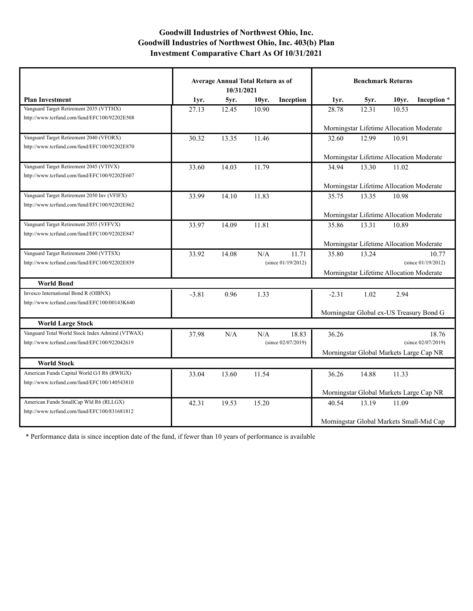|                                                  | <b>Average Annual Total Return as of</b><br>10/31/2021 |       |                    |                       | <b>Benchmark Returns</b>                 |                                          |                    |                                          |
|--------------------------------------------------|--------------------------------------------------------|-------|--------------------|-----------------------|------------------------------------------|------------------------------------------|--------------------|------------------------------------------|
| <b>Plan Investment</b>                           | 1yr.                                                   | 5yr.  | 10 <sub>vr</sub> . | Inception             | 1yr.                                     | 5yr.                                     | 10 <sub>vr</sub> . | Inception *                              |
| Vanguard Target Retirement 2035 (VTTHX)          | 27.13                                                  | 12.45 | 10.90              |                       | 28.78                                    | 12.31                                    | 10.53              |                                          |
| http://www.tcrfund.com/fund/EFC100/92202E508     |                                                        |       |                    |                       |                                          |                                          |                    |                                          |
|                                                  |                                                        |       |                    |                       | Morningstar Lifetime Allocation Moderate |                                          |                    |                                          |
| Vanguard Target Retirement 2040 (VFORX)          | 30.32                                                  | 13.35 | 11.46              |                       | 32.60                                    | 12.99                                    | 10.91              |                                          |
| http://www.tcrfund.com/fund/EFC100/92202E870     |                                                        |       |                    |                       |                                          |                                          |                    |                                          |
|                                                  |                                                        |       |                    |                       | Morningstar Lifetime Allocation Moderate |                                          |                    |                                          |
| Vanguard Target Retirement 2045 (VTIVX)          | 33.60                                                  | 14.03 | 11.79              |                       | 34.94                                    | 13.30                                    | 11.02              |                                          |
| http://www.terfund.com/fund/EFC100/92202E607     |                                                        |       |                    |                       |                                          |                                          |                    |                                          |
|                                                  |                                                        |       |                    |                       |                                          | Morningstar Lifetime Allocation Moderate |                    |                                          |
| Vanguard Target Retirement 2050 Inv (VFIFX)      | 33.99                                                  | 14.10 | 11.83              |                       | 35.75                                    | 13.35                                    | 10.98              |                                          |
| http://www.terfund.com/fund/EFC100/92202E862     |                                                        |       |                    |                       |                                          |                                          |                    |                                          |
|                                                  |                                                        |       |                    |                       | Morningstar Lifetime Allocation Moderate |                                          |                    |                                          |
| Vanguard Target Retirement 2055 (VFFVX)          | 33.97                                                  | 14.09 | 11.81              |                       | 35.86                                    | 13.31                                    | 10.89              |                                          |
| http://www.tcrfund.com/fund/EFC100/92202E847     |                                                        |       |                    |                       |                                          |                                          |                    |                                          |
|                                                  |                                                        |       |                    |                       | Morningstar Lifetime Allocation Moderate |                                          |                    |                                          |
| Vanguard Target Retirement 2060 (VTTSX)          | 33.92                                                  | 14.08 | N/A                | 11.71                 | 35.80                                    | 13.24                                    |                    | 10.77                                    |
| http://www.tcrfund.com/fund/EFC100/92202E839     |                                                        |       |                    | (since $01/19/2012$ ) |                                          |                                          |                    | (since $01/19/2012$ )                    |
|                                                  |                                                        |       |                    |                       |                                          | Morningstar Lifetime Allocation Moderate |                    |                                          |
| <b>World Bond</b>                                |                                                        |       |                    |                       |                                          |                                          |                    |                                          |
| Invesco International Bond R (OIBNX)             | $-3.81$                                                | 0.96  | 1.33               |                       | $-2.31$                                  | 1.02                                     | 2.94               |                                          |
| http://www.tcrfund.com/fund/EFC100/00143K640     |                                                        |       |                    |                       |                                          |                                          |                    |                                          |
|                                                  |                                                        |       |                    |                       |                                          |                                          |                    | Morningstar Global ex-US Treasury Bond G |
| <b>World Large Stock</b>                         |                                                        |       |                    |                       |                                          |                                          |                    |                                          |
| Vanguard Total World Stock Index Admiral (VTWAX) | 37.98                                                  | N/A   | N/A                | 18.83                 | 36.26                                    |                                          |                    | 18.76                                    |
| http://www.tcrfund.com/fund/EFC100/922042619     |                                                        |       |                    | (since $02/07/2019$ ) |                                          |                                          |                    | (since 02/07/2019)                       |
|                                                  |                                                        |       |                    |                       |                                          | Morningstar Global Markets Large Cap NR  |                    |                                          |
| <b>World Stock</b>                               |                                                        |       |                    |                       |                                          |                                          |                    |                                          |
| American Funds Capital World G/I R6 (RWIGX)      | 33.04                                                  | 13.60 | 11.54              |                       | 36.26                                    | 14.88                                    | 11.33              |                                          |
| http://www.tcrfund.com/fund/EFC100/140543810     |                                                        |       |                    |                       |                                          |                                          |                    |                                          |
|                                                  |                                                        |       |                    |                       |                                          | Morningstar Global Markets Large Cap NR  |                    |                                          |
| American Funds SmallCap Wld R6 (RLLGX)           | 42.31                                                  | 19.53 | 15.20              |                       | 40.54                                    | 13.19                                    | 11.09              |                                          |
| http://www.tcrfund.com/fund/EFC100/831681812     |                                                        |       |                    |                       |                                          |                                          |                    |                                          |
|                                                  |                                                        |       |                    |                       |                                          |                                          |                    | Morningstar Global Markets Small-Mid Cap |

\* Performance data is since inception date of the fund, if fewer than 10 years of performance is available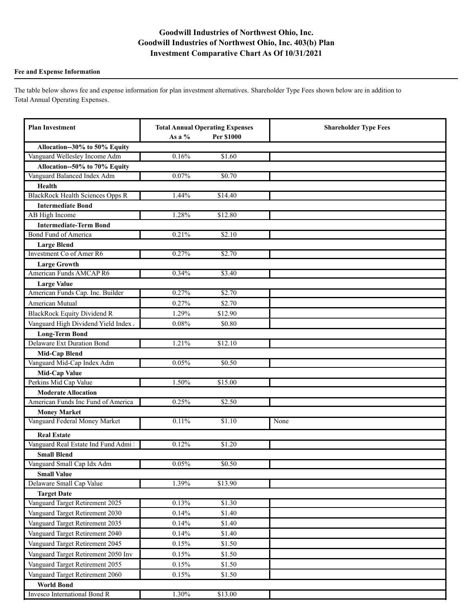### **Fee and Expense Information**

The table below shows fee and expense information for plan investment alternatives. Shareholder Type Fees shown below are in addition to Total Annual Operating Expenses.

| <b>Plan Investment</b>                  | <b>Total Annual Operating Expenses</b><br>As a %<br>Per \$1000 |         | <b>Shareholder Type Fees</b> |
|-----------------------------------------|----------------------------------------------------------------|---------|------------------------------|
| Allocation--30% to 50% Equity           |                                                                |         |                              |
| Vanguard Wellesley Income Adm           | 0.16%                                                          | \$1.60  |                              |
| Allocation--50% to 70% Equity           |                                                                |         |                              |
| Vanguard Balanced Index Adm             | 0.07%                                                          | \$0.70  |                              |
| Health                                  |                                                                |         |                              |
| <b>BlackRock Health Sciences Opps R</b> | 1.44%                                                          | \$14.40 |                              |
| <b>Intermediate Bond</b>                |                                                                |         |                              |
| AB High Income                          | 1.28%                                                          | \$12.80 |                              |
| <b>Intermediate-Term Bond</b>           |                                                                |         |                              |
| Bond Fund of America                    | 0.21%                                                          | \$2.10  |                              |
| <b>Large Blend</b>                      |                                                                |         |                              |
| Investment Co of Amer R6                | 0.27%                                                          | \$2.70  |                              |
| <b>Large Growth</b>                     |                                                                |         |                              |
| American Funds AMCAP R6                 | 0.34%                                                          | \$3.40  |                              |
| <b>Large Value</b>                      |                                                                |         |                              |
| American Funds Cap. Inc. Builder        | 0.27%                                                          | \$2.70  |                              |
| American Mutual                         | 0.27%                                                          | \$2.70  |                              |
| <b>BlackRock Equity Dividend R</b>      | 1.29%                                                          | \$12.90 |                              |
| Vanguard High Dividend Yield Index.     | 0.08%                                                          | \$0.80  |                              |
| <b>Long-Term Bond</b>                   |                                                                |         |                              |
| <b>Delaware Ext Duration Bond</b>       | 1.21%                                                          | \$12.10 |                              |
| <b>Mid-Cap Blend</b>                    |                                                                |         |                              |
| Vanguard Mid-Cap Index Adm              | 0.05%                                                          | \$0.50  |                              |
| <b>Mid-Cap Value</b>                    |                                                                |         |                              |
| Perkins Mid Cap Value                   | 1.50%                                                          | \$15.00 |                              |
| <b>Moderate Allocation</b>              |                                                                |         |                              |
| American Funds Inc Fund of America      | 0.25%                                                          | \$2.50  |                              |
| <b>Money Market</b>                     |                                                                |         |                              |
| Vanguard Federal Money Market           | 0.11%                                                          | \$1.10  | None                         |
| <b>Real Estate</b>                      |                                                                |         |                              |
| Vanguard Real Estate Ind Fund Admi      | 0.12%                                                          | \$1.20  |                              |
| <b>Small Blend</b>                      |                                                                |         |                              |
| Vanguard Small Cap Idx Adm              | 0.05%                                                          | \$0.50  |                              |
| <b>Small Value</b>                      |                                                                |         |                              |
| Delaware Small Cap Value                | 1.39%                                                          | \$13.90 |                              |
| <b>Target Date</b>                      |                                                                |         |                              |
| Vanguard Target Retirement 2025         | 0.13%                                                          | \$1.30  |                              |
| Vanguard Target Retirement 2030         | 0.14%                                                          | \$1.40  |                              |
| Vanguard Target Retirement 2035         | 0.14%                                                          | \$1.40  |                              |
| Vanguard Target Retirement 2040         | 0.14%                                                          | \$1.40  |                              |
| Vanguard Target Retirement 2045         | $0.15\%$                                                       | \$1.50  |                              |
| Vanguard Target Retirement 2050 Inv     | 0.15%                                                          | \$1.50  |                              |
| Vanguard Target Retirement 2055         | $0.15\%$                                                       | \$1.50  |                              |
| Vanguard Target Retirement 2060         | 0.15%                                                          | \$1.50  |                              |
| <b>World Bond</b>                       |                                                                |         |                              |
| Invesco International Bond R            | 1.30%                                                          | \$13.00 |                              |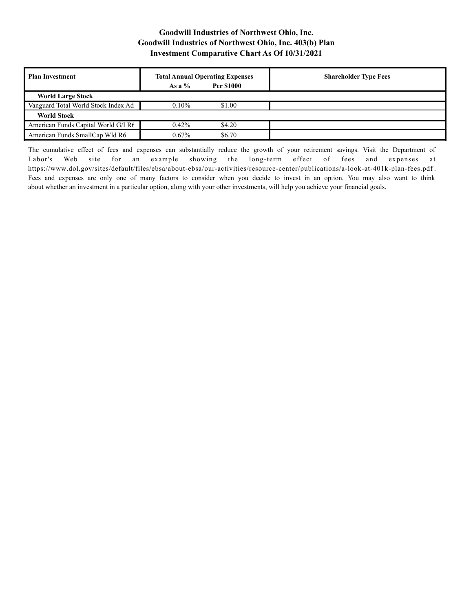| <b>Plan Investment</b>              | <b>Total Annual Operating Expenses</b> |                   | <b>Shareholder Type Fees</b> |
|-------------------------------------|----------------------------------------|-------------------|------------------------------|
|                                     | As a $%$                               | <b>Per \$1000</b> |                              |
| <b>World Large Stock</b>            |                                        |                   |                              |
| Vanguard Total World Stock Index Ad | $0.10\%$                               | \$1.00            |                              |
| <b>World Stock</b>                  |                                        |                   |                              |
| American Funds Capital World G/I R6 | $0.42\%$                               | \$4.20            |                              |
| American Funds SmallCap Wld R6      | $0.67\%$                               | \$6.70            |                              |

The cumulative effect of fees and expenses can substantially reduce the growth of your retirement savings. Visit the Department of Labor's Web site for an example showing the long-term effect of fees and expenses at https://www.dol.gov/sites/default/files/ebsa/about-ebsa/our-activities/resource-center/publications/a-look-at-401k-plan-fees.pdf . Fees and expenses are only one of many factors to consider when you decide to invest in an option. You may also want to think about whether an investment in a particular option, along with your other investments, will help you achieve your financial goals.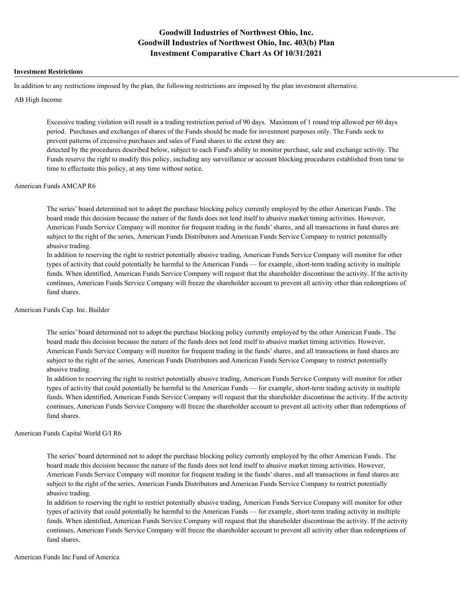#### **Investment Restrictions**

In addition to any restrictions imposed by the plan, the following restrictions are imposed by the plan investment alternative.

#### AB High Income

Excessive trading violation will result in a trading restriction period of 90 days. Maximum of 1 round trip allowed per 60 days period. Purchases and exchanges of shares of the Funds should be made for investment purposes only. The Funds seek to prevent patterns of excessive purchases and sales of Fund shares to the extent they are detected by the procedures described below, subject to each Fund's ability to monitor purchase, sale and exchange activity. The Funds reserve the right to modify this policy, including any surveillance or account blocking procedures established from time to time to effectuate this policy, at any time without notice.

### American Funds AMCAP R6

The series' board determined not to adopt the purchase blocking policy currently employed by the other American Funds. The board made this decision because the nature of the funds does not lend itself to abusive market timing activities. However, American Funds Service Company will monitor for frequent trading in the funds' shares, and all transactions in fund shares are subject to the right of the series, American Funds Distributors and American Funds Service Company to restrict potentially abusive trading.

In addition to reserving the right to restrict potentially abusive trading, American Funds Service Company will monitor for other types of activity that could potentially be harmful to the American Funds — for example, short-term trading activity in multiple funds. When identified, American Funds Service Company will request that the shareholder discontinue the activity. If the activity continues, American Funds Service Company will freeze the shareholder account to prevent all activity other than redemptions of fund shares.

### American Funds Cap. Inc. Builder

The series' board determined not to adopt the purchase blocking policy currently employed by the other American Funds. The board made this decision because the nature of the funds does not lend itself to abusive market timing activities. However, American Funds Service Company will monitor for frequent trading in the funds' shares, and all transactions in fund shares are subject to the right of the series, American Funds Distributors and American Funds Service Company to restrict potentially abusive trading.

In addition to reserving the right to restrict potentially abusive trading, American Funds Service Company will monitor for other types of activity that could potentially be harmful to the American Funds — for example, short-term trading activity in multiple funds. When identified, American Funds Service Company will request that the shareholder discontinue the activity. If the activity continues, American Funds Service Company will freeze the shareholder account to prevent all activity other than redemptions of fund shares.

### American Funds Capital World G/I R6

The series' board determined not to adopt the purchase blocking policy currently employed by the other American Funds. The board made this decision because the nature of the funds does not lend itself to abusive market timing activities. However, American Funds Service Company will monitor for frequent trading in the funds' shares, and all transactions in fund shares are subject to the right of the series, American Funds Distributors and American Funds Service Company to restrict potentially abusive trading.

In addition to reserving the right to restrict potentially abusive trading, American Funds Service Company will monitor for other types of activity that could potentially be harmful to the American Funds — for example, short-term trading activity in multiple funds. When identified, American Funds Service Company will request that the shareholder discontinue the activity. If the activity continues, American Funds Service Company will freeze the shareholder account to prevent all activity other than redemptions of fund shares.

### American Funds Inc Fund of America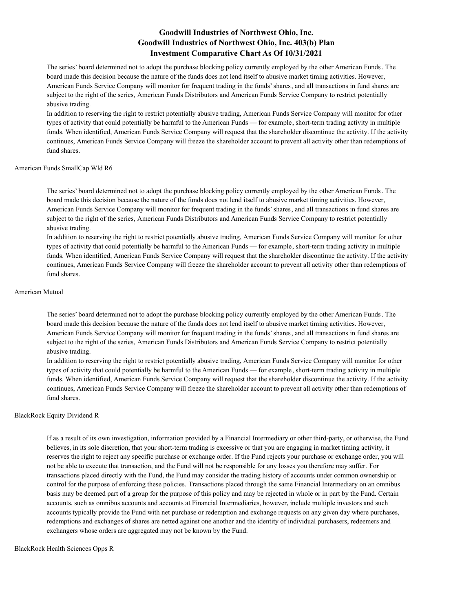The series' board determined not to adopt the purchase blocking policy currently employed by the other American Funds. The board made this decision because the nature of the funds does not lend itself to abusive market timing activities. However, American Funds Service Company will monitor for frequent trading in the funds' shares, and all transactions in fund shares are subject to the right of the series, American Funds Distributors and American Funds Service Company to restrict potentially abusive trading.

In addition to reserving the right to restrict potentially abusive trading, American Funds Service Company will monitor for other types of activity that could potentially be harmful to the American Funds — for example, short-term trading activity in multiple funds. When identified, American Funds Service Company will request that the shareholder discontinue the activity. If the activity continues, American Funds Service Company will freeze the shareholder account to prevent all activity other than redemptions of fund shares.

#### American Funds SmallCap Wld R6

The series' board determined not to adopt the purchase blocking policy currently employed by the other American Funds. The board made this decision because the nature of the funds does not lend itself to abusive market timing activities. However, American Funds Service Company will monitor for frequent trading in the funds' shares, and all transactions in fund shares are subject to the right of the series, American Funds Distributors and American Funds Service Company to restrict potentially abusive trading.

In addition to reserving the right to restrict potentially abusive trading, American Funds Service Company will monitor for other types of activity that could potentially be harmful to the American Funds — for example, short-term trading activity in multiple funds. When identified, American Funds Service Company will request that the shareholder discontinue the activity. If the activity continues, American Funds Service Company will freeze the shareholder account to prevent all activity other than redemptions of fund shares.

#### American Mutual

The series' board determined not to adopt the purchase blocking policy currently employed by the other American Funds. The board made this decision because the nature of the funds does not lend itself to abusive market timing activities. However, American Funds Service Company will monitor for frequent trading in the funds' shares, and all transactions in fund shares are subject to the right of the series, American Funds Distributors and American Funds Service Company to restrict potentially abusive trading.

In addition to reserving the right to restrict potentially abusive trading, American Funds Service Company will monitor for other types of activity that could potentially be harmful to the American Funds — for example, short-term trading activity in multiple funds. When identified, American Funds Service Company will request that the shareholder discontinue the activity. If the activity continues, American Funds Service Company will freeze the shareholder account to prevent all activity other than redemptions of fund shares.

#### BlackRock Equity Dividend R

If as a result of its own investigation, information provided by a Financial Intermediary or other third-party, or otherwise, the Fund believes, in its sole discretion, that your short-term trading is excessive or that you are engaging in market timing activity, it reserves the right to reject any specific purchase or exchange order. If the Fund rejects your purchase or exchange order, you will not be able to execute that transaction, and the Fund will not be responsible for any losses you therefore may suffer. For transactions placed directly with the Fund, the Fund may consider the trading history of accounts under common ownership or control for the purpose of enforcing these policies. Transactions placed through the same Financial Intermediary on an omnibus basis may be deemed part of a group for the purpose of this policy and may be rejected in whole or in part by the Fund. Certain accounts, such as omnibus accounts and accounts at Financial Intermediaries, however, include multiple investors and such accounts typically provide the Fund with net purchase or redemption and exchange requests on any given day where purchases, redemptions and exchanges of shares are netted against one another and the identity of individual purchasers, redeemers and exchangers whose orders are aggregated may not be known by the Fund.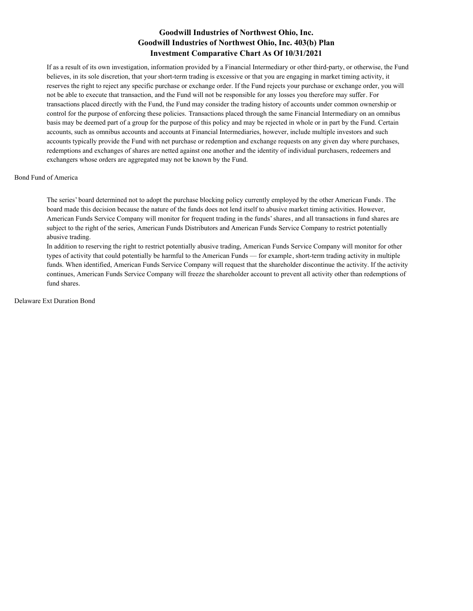If as a result of its own investigation, information provided by a Financial Intermediary or other third-party, or otherwise, the Fund believes, in its sole discretion, that your short-term trading is excessive or that you are engaging in market timing activity, it reserves the right to reject any specific purchase or exchange order. If the Fund rejects your purchase or exchange order, you will not be able to execute that transaction, and the Fund will not be responsible for any losses you therefore may suffer. For transactions placed directly with the Fund, the Fund may consider the trading history of accounts under common ownership or control for the purpose of enforcing these policies. Transactions placed through the same Financial Intermediary on an omnibus basis may be deemed part of a group for the purpose of this policy and may be rejected in whole or in part by the Fund. Certain accounts, such as omnibus accounts and accounts at Financial Intermediaries, however, include multiple investors and such accounts typically provide the Fund with net purchase or redemption and exchange requests on any given day where purchases, redemptions and exchanges of shares are netted against one another and the identity of individual purchasers, redeemers and exchangers whose orders are aggregated may not be known by the Fund.

### Bond Fund of America

The series' board determined not to adopt the purchase blocking policy currently employed by the other American Funds. The board made this decision because the nature of the funds does not lend itself to abusive market timing activities. However, American Funds Service Company will monitor for frequent trading in the funds' shares, and all transactions in fund shares are subject to the right of the series, American Funds Distributors and American Funds Service Company to restrict potentially abusive trading.

In addition to reserving the right to restrict potentially abusive trading, American Funds Service Company will monitor for other types of activity that could potentially be harmful to the American Funds — for example, short-term trading activity in multiple funds. When identified, American Funds Service Company will request that the shareholder discontinue the activity. If the activity continues, American Funds Service Company will freeze the shareholder account to prevent all activity other than redemptions of fund shares.

Delaware Ext Duration Bond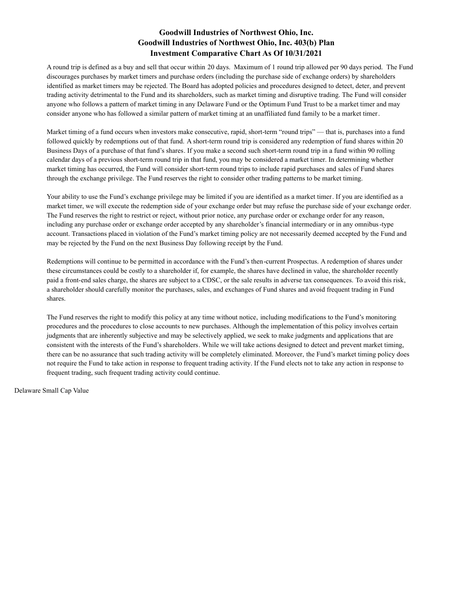A round trip is defined as a buy and sell that occur within 20 days. Maximum of 1 round trip allowed per 90 days period. The Fund discourages purchases by market timers and purchase orders (including the purchase side of exchange orders) by shareholders identified as market timers may be rejected. The Board has adopted policies and procedures designed to detect, deter, and prevent trading activity detrimental to the Fund and its shareholders, such as market timing and disruptive trading. The Fund will consider anyone who follows a pattern of market timing in any Delaware Fund or the Optimum Fund Trust to be a market timer and may consider anyone who has followed a similar pattern of market timing at an unaffiliated fund family to be a market timer.

Market timing of a fund occurs when investors make consecutive, rapid, short-term "round trips" — that is, purchases into a fund followed quickly by redemptions out of that fund. A short-term round trip is considered any redemption of fund shares within 20 Business Days of a purchase of that fund's shares. If you make a second such short-term round trip in a fund within 90 rolling calendar days of a previous short-term round trip in that fund, you may be considered a market timer. In determining whether market timing has occurred, the Fund will consider short-term round trips to include rapid purchases and sales of Fund shares through the exchange privilege. The Fund reserves the right to consider other trading patterns to be market timing.

Your ability to use the Fund's exchange privilege may be limited if you are identified as a market timer. If you are identified as a market timer, we will execute the redemption side of your exchange order but may refuse the purchase side of your exchange order. The Fund reserves the right to restrict or reject, without prior notice, any purchase order or exchange order for any reason, including any purchase order or exchange order accepted by any shareholder's financial intermediary or in any omnibus-type account. Transactions placed in violation of the Fund's market timing policy are not necessarily deemed accepted by the Fund and may be rejected by the Fund on the next Business Day following receipt by the Fund.

Redemptions will continue to be permitted in accordance with the Fund's then-current Prospectus. A redemption of shares under these circumstances could be costly to a shareholder if, for example, the shares have declined in value, the shareholder recently paid a front-end sales charge, the shares are subject to a CDSC, or the sale results in adverse tax consequences. To avoid this risk, a shareholder should carefully monitor the purchases, sales, and exchanges of Fund shares and avoid frequent trading in Fund shares.

The Fund reserves the right to modify this policy at any time without notice, including modifications to the Fund's monitoring procedures and the procedures to close accounts to new purchases. Although the implementation of this policy involves certain judgments that are inherently subjective and may be selectively applied, we seek to make judgments and applications that are consistent with the interests of the Fund's shareholders. While we will take actions designed to detect and prevent market timing, there can be no assurance that such trading activity will be completely eliminated. Moreover, the Fund's market timing policy does not require the Fund to take action in response to frequent trading activity. If the Fund elects not to take any action in response to frequent trading, such frequent trading activity could continue.

Delaware Small Cap Value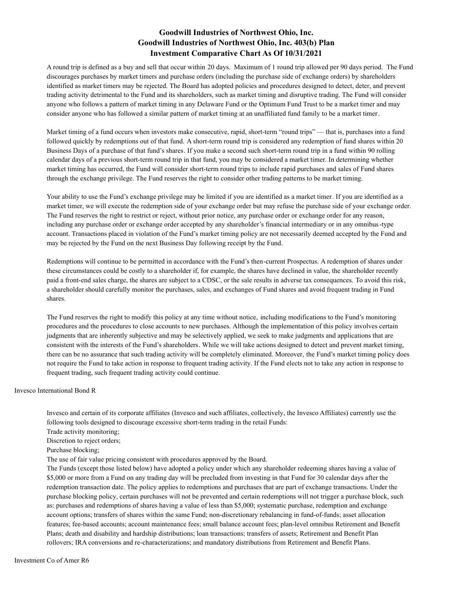A round trip is defined as a buy and sell that occur within 20 days. Maximum of 1 round trip allowed per 90 days period. The Fund discourages purchases by market timers and purchase orders (including the purchase side of exchange orders) by shareholders identified as market timers may be rejected. The Board has adopted policies and procedures designed to detect, deter, and prevent trading activity detrimental to the Fund and its shareholders, such as market timing and disruptive trading. The Fund will consider anyone who follows a pattern of market timing in any Delaware Fund or the Optimum Fund Trust to be a market timer and may consider anyone who has followed a similar pattern of market timing at an unaffiliated fund family to be a market timer.

Market timing of a fund occurs when investors make consecutive, rapid, short-term "round trips" — that is, purchases into a fund followed quickly by redemptions out of that fund. A short-term round trip is considered any redemption of fund shares within 20 Business Days of a purchase of that fund's shares. If you make a second such short-term round trip in a fund within 90 rolling calendar days of a previous short-term round trip in that fund, you may be considered a market timer. In determining whether market timing has occurred, the Fund will consider short-term round trips to include rapid purchases and sales of Fund shares through the exchange privilege. The Fund reserves the right to consider other trading patterns to be market timing.

Your ability to use the Fund's exchange privilege may be limited if you are identified as a market timer. If you are identified as a market timer, we will execute the redemption side of your exchange order but may refuse the purchase side of your exchange order. The Fund reserves the right to restrict or reject, without prior notice, any purchase order or exchange order for any reason, including any purchase order or exchange order accepted by any shareholder's financial intermediary or in any omnibus-type account. Transactions placed in violation of the Fund's market timing policy are not necessarily deemed accepted by the Fund and may be rejected by the Fund on the next Business Day following receipt by the Fund.

Redemptions will continue to be permitted in accordance with the Fund's then-current Prospectus. A redemption of shares under these circumstances could be costly to a shareholder if, for example, the shares have declined in value, the shareholder recently paid a front-end sales charge, the shares are subject to a CDSC, or the sale results in adverse tax consequences. To avoid this risk, a shareholder should carefully monitor the purchases, sales, and exchanges of Fund shares and avoid frequent trading in Fund shares.

The Fund reserves the right to modify this policy at any time without notice, including modifications to the Fund's monitoring procedures and the procedures to close accounts to new purchases. Although the implementation of this policy involves certain judgments that are inherently subjective and may be selectively applied, we seek to make judgments and applications that are consistent with the interests of the Fund's shareholders. While we will take actions designed to detect and prevent market timing, there can be no assurance that such trading activity will be completely eliminated. Moreover, the Fund's market timing policy does not require the Fund to take action in response to frequent trading activity. If the Fund elects not to take any action in response to frequent trading, such frequent trading activity could continue.

Invesco International Bond R

Invesco and certain of its corporate affiliates (Invesco and such affiliates, collectively, the Invesco Affiliates) currently use the following tools designed to discourage excessive short-term trading in the retail Funds:

Trade activity monitoring;

Discretion to reject orders;

Purchase blocking;

The use of fair value pricing consistent with procedures approved by the Board.

The Funds (except those listed below) have adopted a policy under which any shareholder redeeming shares having a value of \$5,000 or more from a Fund on any trading day will be precluded from investing in that Fund for 30 calendar days after the redemption transaction date. The policy applies to redemptions and purchases that are part of exchange transactions. Under the purchase blocking policy, certain purchases will not be prevented and certain redemptions will not trigger a purchase block, such as: purchases and redemptions of shares having a value of less than \$5,000; systematic purchase, redemption and exchange account options; transfers of shares within the same Fund; non-discretionary rebalancing in fund-of-funds; asset allocation features; fee-based accounts; account maintenance fees; small balance account fees; plan-level omnibus Retirement and Benefit Plans; death and disability and hardship distributions; loan transactions; transfers of assets; Retirement and Benefit Plan rollovers; IRA conversions and re-characterizations; and mandatory distributions from Retirement and Benefit Plans.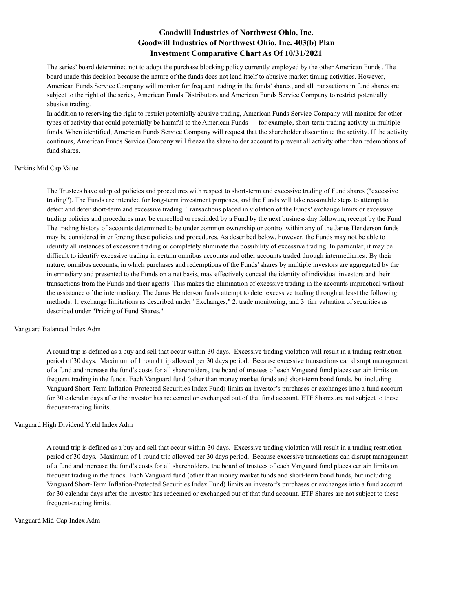The series' board determined not to adopt the purchase blocking policy currently employed by the other American Funds. The board made this decision because the nature of the funds does not lend itself to abusive market timing activities. However, American Funds Service Company will monitor for frequent trading in the funds' shares, and all transactions in fund shares are subject to the right of the series, American Funds Distributors and American Funds Service Company to restrict potentially abusive trading.

In addition to reserving the right to restrict potentially abusive trading, American Funds Service Company will monitor for other types of activity that could potentially be harmful to the American Funds — for example, short-term trading activity in multiple funds. When identified, American Funds Service Company will request that the shareholder discontinue the activity. If the activity continues, American Funds Service Company will freeze the shareholder account to prevent all activity other than redemptions of fund shares.

#### Perkins Mid Cap Value

The Trustees have adopted policies and procedures with respect to short-term and excessive trading of Fund shares ("excessive trading"). The Funds are intended for long-term investment purposes, and the Funds will take reasonable steps to attempt to detect and deter short-term and excessive trading. Transactions placed in violation of the Funds' exchange limits or excessive trading policies and procedures may be cancelled or rescinded by a Fund by the next business day following receipt by the Fund. The trading history of accounts determined to be under common ownership or control within any of the Janus Henderson funds may be considered in enforcing these policies and procedures. As described below, however, the Funds may not be able to identify all instances of excessive trading or completely eliminate the possibility of excessive trading. In particular, it may be difficult to identify excessive trading in certain omnibus accounts and other accounts traded through intermediaries. By their nature, omnibus accounts, in which purchases and redemptions of the Funds' shares by multiple investors are aggregated by the intermediary and presented to the Funds on a net basis, may effectively conceal the identity of individual investors and their transactions from the Funds and their agents. This makes the elimination of excessive trading in the accounts impractical without the assistance of the intermediary. The Janus Henderson funds attempt to deter excessive trading through at least the following methods: 1. exchange limitations as described under "Exchanges;" 2. trade monitoring; and 3. fair valuation of securities as described under "Pricing of Fund Shares."

### Vanguard Balanced Index Adm

A round trip is defined as a buy and sell that occur within 30 days. Excessive trading violation will result in a trading restriction period of 30 days. Maximum of 1 round trip allowed per 30 days period. Because excessive transactions can disrupt management of a fund and increase the fund's costs for all shareholders, the board of trustees of each Vanguard fund places certain limits on frequent trading in the funds. Each Vanguard fund (other than money market funds and short-term bond funds, but including Vanguard Short-Term Inflation-Protected Securities Index Fund) limits an investor's purchases or exchanges into a fund account for 30 calendar days after the investor has redeemed or exchanged out of that fund account. ETF Shares are not subject to these frequent-trading limits.

### Vanguard High Dividend Yield Index Adm

A round trip is defined as a buy and sell that occur within 30 days. Excessive trading violation will result in a trading restriction period of 30 days. Maximum of 1 round trip allowed per 30 days period. Because excessive transactions can disrupt management of a fund and increase the fund's costs for all shareholders, the board of trustees of each Vanguard fund places certain limits on frequent trading in the funds. Each Vanguard fund (other than money market funds and short-term bond funds, but including Vanguard Short-Term Inflation-Protected Securities Index Fund) limits an investor's purchases or exchanges into a fund account for 30 calendar days after the investor has redeemed or exchanged out of that fund account. ETF Shares are not subject to these frequent-trading limits.

### Vanguard Mid-Cap Index Adm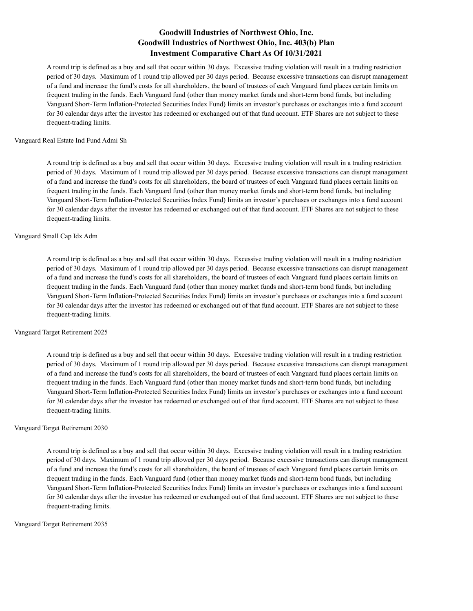A round trip is defined as a buy and sell that occur within 30 days. Excessive trading violation will result in a trading restriction period of 30 days. Maximum of 1 round trip allowed per 30 days period. Because excessive transactions can disrupt management of a fund and increase the fund's costs for all shareholders, the board of trustees of each Vanguard fund places certain limits on frequent trading in the funds. Each Vanguard fund (other than money market funds and short-term bond funds, but including Vanguard Short-Term Inflation-Protected Securities Index Fund) limits an investor's purchases or exchanges into a fund account for 30 calendar days after the investor has redeemed or exchanged out of that fund account. ETF Shares are not subject to these frequent-trading limits.

#### Vanguard Real Estate Ind Fund Admi Sh

A round trip is defined as a buy and sell that occur within 30 days. Excessive trading violation will result in a trading restriction period of 30 days. Maximum of 1 round trip allowed per 30 days period. Because excessive transactions can disrupt management of a fund and increase the fund's costs for all shareholders, the board of trustees of each Vanguard fund places certain limits on frequent trading in the funds. Each Vanguard fund (other than money market funds and short-term bond funds, but including Vanguard Short-Term Inflation-Protected Securities Index Fund) limits an investor's purchases or exchanges into a fund account for 30 calendar days after the investor has redeemed or exchanged out of that fund account. ETF Shares are not subject to these frequent-trading limits.

#### Vanguard Small Cap Idx Adm

A round trip is defined as a buy and sell that occur within 30 days. Excessive trading violation will result in a trading restriction period of 30 days. Maximum of 1 round trip allowed per 30 days period. Because excessive transactions can disrupt management of a fund and increase the fund's costs for all shareholders, the board of trustees of each Vanguard fund places certain limits on frequent trading in the funds. Each Vanguard fund (other than money market funds and short-term bond funds, but including Vanguard Short-Term Inflation-Protected Securities Index Fund) limits an investor's purchases or exchanges into a fund account for 30 calendar days after the investor has redeemed or exchanged out of that fund account. ETF Shares are not subject to these frequent-trading limits.

### Vanguard Target Retirement 2025

A round trip is defined as a buy and sell that occur within 30 days. Excessive trading violation will result in a trading restriction period of 30 days. Maximum of 1 round trip allowed per 30 days period. Because excessive transactions can disrupt management of a fund and increase the fund's costs for all shareholders, the board of trustees of each Vanguard fund places certain limits on frequent trading in the funds. Each Vanguard fund (other than money market funds and short-term bond funds, but including Vanguard Short-Term Inflation-Protected Securities Index Fund) limits an investor's purchases or exchanges into a fund account for 30 calendar days after the investor has redeemed or exchanged out of that fund account. ETF Shares are not subject to these frequent-trading limits.

#### Vanguard Target Retirement 2030

A round trip is defined as a buy and sell that occur within 30 days. Excessive trading violation will result in a trading restriction period of 30 days. Maximum of 1 round trip allowed per 30 days period. Because excessive transactions can disrupt management of a fund and increase the fund's costs for all shareholders, the board of trustees of each Vanguard fund places certain limits on frequent trading in the funds. Each Vanguard fund (other than money market funds and short-term bond funds, but including Vanguard Short-Term Inflation-Protected Securities Index Fund) limits an investor's purchases or exchanges into a fund account for 30 calendar days after the investor has redeemed or exchanged out of that fund account. ETF Shares are not subject to these frequent-trading limits.

#### Vanguard Target Retirement 2035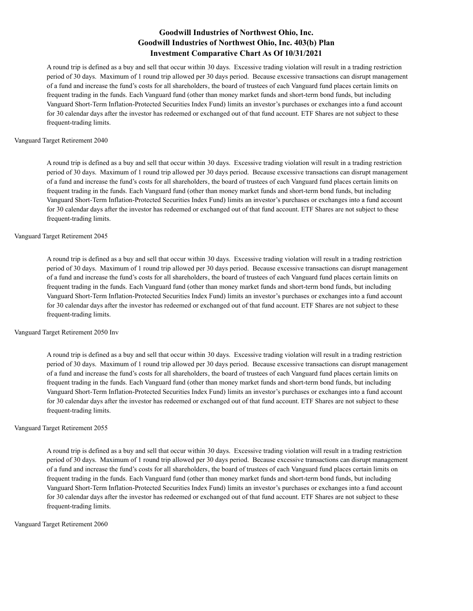A round trip is defined as a buy and sell that occur within 30 days. Excessive trading violation will result in a trading restriction period of 30 days. Maximum of 1 round trip allowed per 30 days period. Because excessive transactions can disrupt management of a fund and increase the fund's costs for all shareholders, the board of trustees of each Vanguard fund places certain limits on frequent trading in the funds. Each Vanguard fund (other than money market funds and short-term bond funds, but including Vanguard Short-Term Inflation-Protected Securities Index Fund) limits an investor's purchases or exchanges into a fund account for 30 calendar days after the investor has redeemed or exchanged out of that fund account. ETF Shares are not subject to these frequent-trading limits.

#### Vanguard Target Retirement 2040

A round trip is defined as a buy and sell that occur within 30 days. Excessive trading violation will result in a trading restriction period of 30 days. Maximum of 1 round trip allowed per 30 days period. Because excessive transactions can disrupt management of a fund and increase the fund's costs for all shareholders, the board of trustees of each Vanguard fund places certain limits on frequent trading in the funds. Each Vanguard fund (other than money market funds and short-term bond funds, but including Vanguard Short-Term Inflation-Protected Securities Index Fund) limits an investor's purchases or exchanges into a fund account for 30 calendar days after the investor has redeemed or exchanged out of that fund account. ETF Shares are not subject to these frequent-trading limits.

#### Vanguard Target Retirement 2045

A round trip is defined as a buy and sell that occur within 30 days. Excessive trading violation will result in a trading restriction period of 30 days. Maximum of 1 round trip allowed per 30 days period. Because excessive transactions can disrupt management of a fund and increase the fund's costs for all shareholders, the board of trustees of each Vanguard fund places certain limits on frequent trading in the funds. Each Vanguard fund (other than money market funds and short-term bond funds, but including Vanguard Short-Term Inflation-Protected Securities Index Fund) limits an investor's purchases or exchanges into a fund account for 30 calendar days after the investor has redeemed or exchanged out of that fund account. ETF Shares are not subject to these frequent-trading limits.

### Vanguard Target Retirement 2050 Inv

A round trip is defined as a buy and sell that occur within 30 days. Excessive trading violation will result in a trading restriction period of 30 days. Maximum of 1 round trip allowed per 30 days period. Because excessive transactions can disrupt management of a fund and increase the fund's costs for all shareholders, the board of trustees of each Vanguard fund places certain limits on frequent trading in the funds. Each Vanguard fund (other than money market funds and short-term bond funds, but including Vanguard Short-Term Inflation-Protected Securities Index Fund) limits an investor's purchases or exchanges into a fund account for 30 calendar days after the investor has redeemed or exchanged out of that fund account. ETF Shares are not subject to these frequent-trading limits.

#### Vanguard Target Retirement 2055

A round trip is defined as a buy and sell that occur within 30 days. Excessive trading violation will result in a trading restriction period of 30 days. Maximum of 1 round trip allowed per 30 days period. Because excessive transactions can disrupt management of a fund and increase the fund's costs for all shareholders, the board of trustees of each Vanguard fund places certain limits on frequent trading in the funds. Each Vanguard fund (other than money market funds and short-term bond funds, but including Vanguard Short-Term Inflation-Protected Securities Index Fund) limits an investor's purchases or exchanges into a fund account for 30 calendar days after the investor has redeemed or exchanged out of that fund account. ETF Shares are not subject to these frequent-trading limits.

#### Vanguard Target Retirement 2060